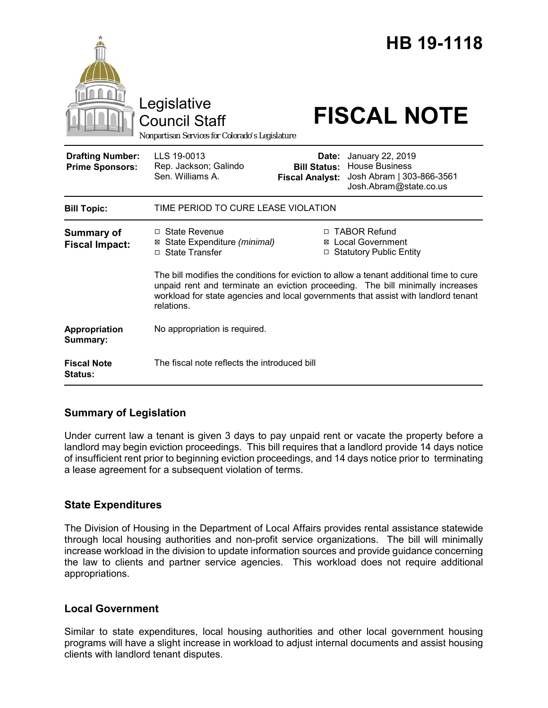|                                                   | Legislative<br><b>Council Staff</b><br>Nonpartisan Services for Colorado's Legislature                                                                                                                                                                                        |                                                        | HB 19-1118<br><b>FISCAL NOTE</b>                                                                 |
|---------------------------------------------------|-------------------------------------------------------------------------------------------------------------------------------------------------------------------------------------------------------------------------------------------------------------------------------|--------------------------------------------------------|--------------------------------------------------------------------------------------------------|
| <b>Drafting Number:</b><br><b>Prime Sponsors:</b> | LLS 19-0013<br>Rep. Jackson; Galindo<br>Sen. Williams A.                                                                                                                                                                                                                      | Date:<br><b>Bill Status:</b><br><b>Fiscal Analyst:</b> | January 22, 2019<br><b>House Business</b><br>Josh Abram   303-866-3561<br>Josh.Abram@state.co.us |
| <b>Bill Topic:</b>                                | TIME PERIOD TO CURE LEASE VIOLATION                                                                                                                                                                                                                                           |                                                        |                                                                                                  |
| <b>Summary of</b><br><b>Fiscal Impact:</b>        | □ State Revenue<br>⊠ State Expenditure (minimal)<br>□ State Transfer                                                                                                                                                                                                          |                                                        | □ TABOR Refund<br><b>⊠</b> Local Government<br>□ Statutory Public Entity                         |
|                                                   | The bill modifies the conditions for eviction to allow a tenant additional time to cure<br>unpaid rent and terminate an eviction proceeding. The bill minimally increases<br>workload for state agencies and local governments that assist with landlord tenant<br>relations. |                                                        |                                                                                                  |
| Appropriation<br>Summary:                         | No appropriation is required.                                                                                                                                                                                                                                                 |                                                        |                                                                                                  |
| <b>Fiscal Note</b><br>Status:                     | The fiscal note reflects the introduced bill                                                                                                                                                                                                                                  |                                                        |                                                                                                  |

# **Summary of Legislation**

Under current law a tenant is given 3 days to pay unpaid rent or vacate the property before a landlord may begin eviction proceedings. This bill requires that a landlord provide 14 days notice of insufficient rent prior to beginning eviction proceedings, and 14 days notice prior to terminating a lease agreement for a subsequent violation of terms.

# **State Expenditures**

The Division of Housing in the Department of Local Affairs provides rental assistance statewide through local housing authorities and non-profit service organizations. The bill will minimally increase workload in the division to update information sources and provide guidance concerning the law to clients and partner service agencies. This workload does not require additional appropriations.

### **Local Government**

Similar to state expenditures, local housing authorities and other local government housing programs will have a slight increase in workload to adjust internal documents and assist housing clients with landlord tenant disputes.